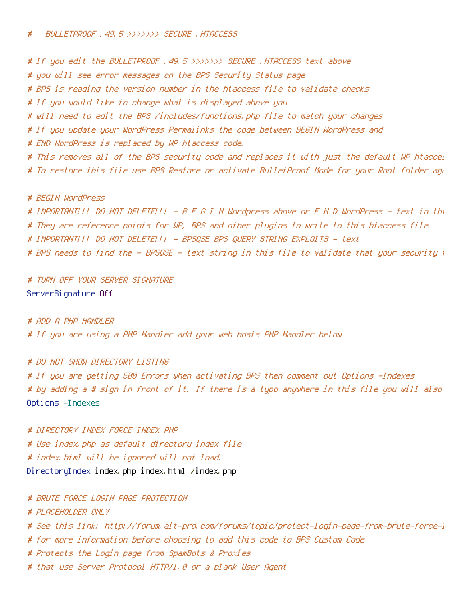# If you edit the BULLETPROOF .49.5 >>>>>>> SECURE .HTACCESS text above # you will see error messages on the BPS Security Status page # BPS is reading the version number in the htaccess file to validate checks # If you would like to change what is displayed above you # will need to edit the BPS /includes/functions.php file to match your changes # If you update your WordPress Permalinks the code between BEGIN WordPress and # END WordPress is replaced by WP htaccess code. # This removes all of the BPS security code and replaces it with just the default WP htacces # To restore this file use BPS Restore or activate BulletProof Mode for your Root folder again. # BEGIN WordPress

# IMPORTANT!!! DO NOT DELETE!!! - B E G I N Wordpress above or E N D WordPress - text in this file # They are reference points for WP, BPS and other plugins to write to this htaccess file. # IMPORTANT!!! DO NOT DELETE!!! - BPSQSE BPS QUERY STRING EXPLOITS - text # BPS needs to find the - BPSQSE - text string in this file to validate that your security  $\pi$ 

# TURN OFF YOUR SERVER SIGNATURE ServerSignature Off

# ADD A PHP HANDLER # If you are using <sup>a</sup> PHP Handler add your web hosts PHP Handler below

# DO NOT SHOW DIRECTORY LISTING # If you are getting 500 Errors when activating BPS then comment out Options -Indexes # by adding a # sign in front of it. If there is a typo anywhere in this file you will also Options -Indexes

# DIRECTORY INDEX FORCE INDEX.PHP # Use index.php as default directory index file # index.html will be ignored will not load. DirectoryIndex index.php index.html /index.php

# BRUTE FORCE LOGIN PAGE PROTECTION

# PLACEHOLDER ONLY

- # See this link: http://forum.ait-pro.com/forums/topic/protect-login-page-from-brute-force-l
- # for more information before choosing to add this code to BPS Custom Code
- # Protects the Login page from SpamBots & Proxies
- # that use Server Protocol HTTP/1.0 or <sup>a</sup> blank User Agent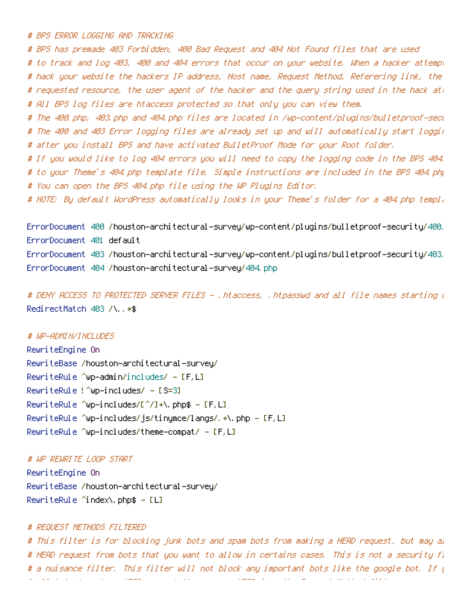# BPS ERROR LOGGING AND TRACKING

# BPS has premade 403 Forbidden, 400 Bad Request and 404 Not Found files that are used # to track and log 403, 400 and 404 errors that occur on your website. When <sup>a</sup> hacker attempts to # hack your website the hackers IP address, Host name, Request Method, Referering link, the file name or # requested resource, the user agent of the hacker and the query string used in the hack att # All BPS log files are htaccess protected so that only you can view them.

# The 400.php, 403.php and 404.php files are located in /wp-content/plugins/bulletproof-security/ # The 400 and 403 Error logging files are already set up and will automatically start logging errors # after you install BPS and have activated BulletProof Mode for your Root folder.

# If you would like to log 404 errors you will need to copy the logging code in the BPS 404. # to your Theme's 404.php template file. Simple instructions are included in the BPS 404.php file. # You can open the BPS 404.php file using the WP Plugins Editor.

# NOTE: By default WordPress automatically looks in your Theme's folder for <sup>a</sup> 404.php template file.

ErrorDocument 400 /houston-architectural-survey/wp-content/plugins/bulletproof-security/400. ErrorDocument 401 default ErrorDocument 403 /houston-architectural-survey/wp-content/plugins/bulletproof-security/403. ErrorDocument 404 /houston-architectural-survey/404.php

# DENY ACCESS TO PROTECTED SERVER FILES - .htaccess, .htpasswd and all file names starting with dot RedirectMatch 403 /\..\*\$

## # WP-ADMIN/INCLUDES

RewriteEngine On RewriteBase /houston-architectural-survey/ RewriteRule ^wp-admin/includes/ -  $[F,L]$ RewriteRule  $?$  Oup-includes/ - [S=3] RewriteRule ^wp-includes/[^/]+\.php\$ - [F,L] RewriteRule ^wp-includes/js/tinymce/langs/.+\.php - [F,L] RewriteRule ^wp—includes/theme—compat/  $-$  [F,L]

# WP REWRITE LOOP START

RewriteEngine On RewriteBase /houston-architectural-survey/ RewriteRule ^index\.php\$ - [L]

## # REQUEST METHODS FILTERED

# This filter is for blocking junk bots and spam bots from making a HEAD request, but may al # HEAD request from bots that you want to allow in certains cases. This is not a security fi # a nuisance filter. This filter will not block any important bots like the google bot. If  $\bar{q}$ # all bots to make <sup>a</sup> HEAD request then remove HEAD from the Request Method filter.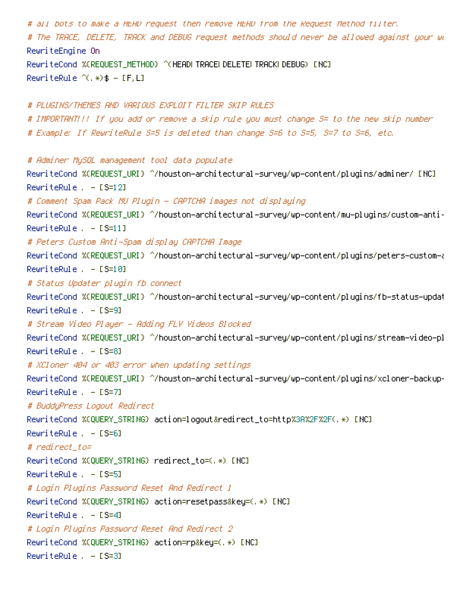# all bots to make <sup>a</sup> HEAD request then remove HEAD from the Request Method filter. # The TRACE, DELETE, TRACK and DEBUG request methods should never be allowed against your website. RewriteEngine On RewriteCond %(REQUEST\_METHOD) ^(HEAD| TRACE| DELETE| TRACK| DEBUG) [NC]  $Rewritten the  $\hat{f}(k,*)$  = [F,L]$ # PLUGINS/THEMES AND VARIOUS EXPLOIT FILTER SKIP RULES # IMPORTANT!!! If you add or remove <sup>a</sup> skip rule you must change S= to the new skip number # Example: If RewriteRule S=5 is deleted than change S=6 to S=5, S=7 to S=6, etc. # Adminer MySQL management tool data populate RewriteCond %{REQUEST\_URI} ^/houston-architectural-survey/wp-content/plugins/adminer/ [NC] RewriteRule . - [S=12] # Comment Spam Pack MU Plugin - CAPTCHA images not displaying RewriteCond %{REQUEST\_URI} ^/houston-architectural-survey/wp-content/mu-plugins/custom-anti-spam RewriteRule . - [S=11] # Peters Custom Anti-Spam display CAPTCHA Image RewriteCond %{REQUEST\_URI} ^/houston-architectural-survey/wp-content/plugins/peters-custom-anti-spam-image RewriteRule . - [S=10] # Status Updater plugin fb connect RewriteCond %{REQUEST\_URI} ^/houston-architectural-survey/wp-content/plugins/fb-status-updater  $RewriteRule = - [S=9]$ # Stream Video Player - Adding FLV Videos Blocked RewriteCond %(REQUEST\_URI) ^/houston-architectural-survey/wp-content/plugins/stream-video-pl RewriteRule . - [S=8] # XCloner 404 or 403 error when updating settings RewriteCond %(REQUEST\_URI) ^/houston-architectural-survey/wp-content/plugins/xcloner-backup-RewriteRule . - [S=7] # BuddyPress Logout Redirect RewriteCond %{QUERY\_STRING} action=logout&redirect\_to=http%3A%2F%2F(.\*) [NC]  $RewriteRule = - [S=6]$ # redirect\_to= RewriteCond %{QUERY\_STRING} redirect\_to=(.\*) [NC] RewriteRule . - [S=5] # Login Plugins Password Reset And Redirect 1 RewriteCond %{QUERY\_STRING} action=resetpass&key=(.\*) [NC]  $RewriteRule = - [S=4]$ # Login Plugins Password Reset And Redirect 2 RewriteCond %{QUERY\_STRING} action=rp&key=(.\*) [NC] RewriteRule . - [S=3]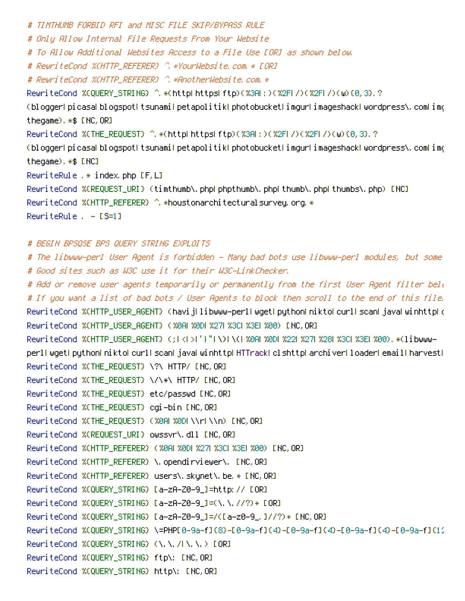# TIMTHUMB FORBID RFI and MISC FILE SKIP/BYPASS RULE # Only Allow Internal File Requests From Your Website # To Allow Additional Websites Access to <sup>a</sup> File Use [OR] as shown below. # RewriteCond %{HTTP\_REFERER} ^.\*YourWebsite.com.\* [OR] # RewriteCond %{HTTP\_REFERER} ^.\*AnotherWebsite.com.\* RewriteCond %CQUERY\_STRING} ^.\*(httplhttps|ftp)(%3A|:)(%2F|/)(%2F|/)(w){0,3}.? (blogger|picasa|blogspot|tsunami|petapolitik|photobucket|imgur|imageshack|wordpress\.com|img thegame).\*\$ [NC,OR] RewriteCond %{THE\_REQUEST} ^.\*(http|https|ftp)(%3A|:)(%2F|/)(%2F|/)(w){0,3}.? (blogger|picasa|blogspot|tsunami|petapolitik|photobucket|imgur|imageshack|wordpress\.com|im( thegame).\*\$ [NC] RewriteRule . $*$  index.php  $[F, L]$ RewriteCond %{REQUEST\_URI} (timthumb\.php|phpthumb\.php|thumb\.php|thumbs\.php) [NC] RewriteCond %(HTTP\_REFERER) ^. \*houstonarchitectural survey.org. \* RewriteRule . - [S=1]

# BEGIN BPSQSE BPS QUERY STRING EXPLOITS

# The libwww-perl User Agent is forbidden - Many bad bots use libwww-perl modules, but some good bots use it too. # Good sites such as W3C use it for their W3C-LinkChecker. # Add or remove user agents temporarily or permanently from the first User Agent filter bel $\iota$ # If you want <sup>a</sup> list of bad bots / User Agents to block then scroll to the end of this file. RewriteCond %{HTTP\_USER\_AGENT} (havij|libwww-perl|wget|python|nikto|curl|scan|java|winhttp|clshttp RewriteCond %{HTTP\_USER\_AGENT} (%0A|%0D|%27|%3C|%3E|%00) [NC,OR] RewriteCond %{HTTP\_USER\_AGENT} (;|<|>|'|"|\)|\(|%0A|%0D|%22|%27|%28|%3C|%3E|%00).\*(libwwwperl|wget|python|nikto|curl|scan|java|winhttp|HTTrack|clshttp|archiver|loader|email|harvest| RewriteCond %{THE\_REQUEST} \?\ HTTP/ [NC,OR] RewriteCond %{THE\_REQUEST} \/\\*\ HTTP/ [NC,OR] RewriteCond %{THE\_REQUEST} etc/passwd [NC,OR] RewriteCond %{THE\_REQUEST} cgi-bin [NC,OR] RewriteCond %{THE\_REQUEST} (%0A|%0D|\\r|\\n) [NC,OR] RewriteCond %{REQUEST\_URI} owssvr\.dll [NC,OR] RewriteCond %(HTTP\_REFERER) (%0A| %0D| %27| %3C| %3E| %00) [NC, OR] RewriteCond %(HTTP\_REFERER) \.opendirviewer\. [NC,OR] RewriteCond %{HTTP\_REFERER} users\.skynet\.be.\* [NC,OR] RewriteCond %{QUERY\_STRING} [a-zA-Z0-9\_]=http:// [OR] RewriteCond %{QUERY\_STRING} [a-zA-Z0-9\_]=(\.\.//?)+ [OR] RewriteCond %{QUERY\_STRING} [a-zA-Z0-9\_]=/([a-z0-9\_.]//?)+ [NC,OR] RewriteCond %{QUERY\_STRING} \=PHP[0-9a-f]{8}-[0-9a-f]{4}-[0-9a-f]{4}-[0-9a-f]{4}-[0-9a-f]{12 RewriteCond %{QUERY\_STRING} (\.\./|\.\.) [OR] RewriteCond %{QUERY\_STRING} ftp\: [NC,OR] RewriteCond %{QUERY\_STRING} http\: [NC,OR]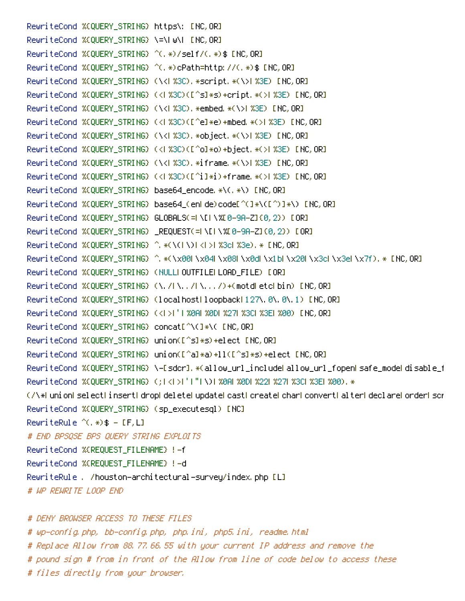RewriteCond %{QUERY\_STRING} https\: [NC,OR] RewriteCond %{QUERY\_STRING} \=\|w\| [NC,OR] RewriteCond %{QUERY\_STRING} ^(.\*)/self/(.\*)\$ [NC,OR] RewriteCond %{QUERY\_STRING} ^(.\*)cPath=http://(.\*)\$ [NC,OR] RewriteCond %(QUERY\_STRING) (\<| %3C). \*script. \*(\>| %3E) [NC,OR] RewriteCond %{QUERY\_STRING} (<|%3C)([^s]\*s)+cript.\*(>|%3E) [NC,OR] RewriteCond %{QUERY\_STRING} (\<| %3C). \*embed. \*(\>| %3E) [NC, OR] RewriteCond %{QUERY\_STRING} (<|%3C)([^e]\*e)+mbed.\*(>|%3E) [NC,OR] RewriteCond %(QUERY\_STRING) (\<l %3C). \*object. \*(\>| %3E) [NC, OR] RewriteCond %(QUERY\_STRING) (<1%3C)([^o]\*o)+bject.\*(>|%3E) [NC,OR] RewriteCond %(QUERY\_STRING) (\<| %3C).\*iframe.\*(\>| %3E) [NC,OR] RewriteCond %(QUERY\_STRING) (<|%3C)([^i]\*i)+frame.\*(>|%3E) [NC,OR] RewriteCond %{QUERY\_STRING} base64\_encode.\*\(.\*\) [NC,OR] RewriteCond %{QUERY\_STRING} base64\_(en|de)code[^(]\*\([^)]\*\) [NC,OR] RewriteCond %{QUERY\_STRING} GLOBALS(=|\[|\%[0-9A-Z]{0,2}) [OR] RewriteCond %{QUERY\_STRING} \_REQUEST(=|\[|\%[0-9A-Z]{0,2}) [OR] RewriteCond %{QUERY\_STRING} ^.\*(\(|\)|<|>|%3c|%3e).\* [NC,OR] RewriteCond %{QUERY\_STRING} ^.\*(\x00|\x04|\x08|\x0d|\x1b|\x20|\x3c|\x3e|\x7f).\* [NC,OR] RewriteCond %{QUERY\_STRING} (NULL|OUTFILE|LOAD\_FILE) [OR] RewriteCond %{QUERY\_STRING} (\./|\../|\.../)+(motd|etc|bin) [NC,OR] RewriteCond %(QUERY\_STRING) (localhost|loopback|127\.0\.0\.1) [NC,OR] RewriteCond %(QUERY\_STRING) (<| >|'| %0A| %0D| %27| %3C| %3E| %00) [NC,OR] RewriteCond %{QUERY\_STRING} concat[^\(]\*\( [NC,OR] RewriteCond %{QUERY\_STRING} union([^s]\*s)+elect [NC,OR] RewriteCond %{QUERY\_STRING} union([^a]\*a)+ll([^s]\*s)+elect [NC,OR] RewriteCond %(QUERY\_STRING) \-[sdcr].\*(allow\_url\_include|allow\_url\_fopen|safe\_mode|disable\_f RewriteCond %(QUERY\_STRING) (;|<|>|'|"|\)| %0A| %0D| %22| %27| %3C| %3E| %00). \* (/\\*|union|select|insert|drop|delete|update|cast|create|char|convert|alter|declare|order|script RewriteCond %{QUERY\_STRING} (sp\_executesql) [NC] RewriteRule  $^{\wedge}$ (,  $\ast$ )  $\ast$  - [F, L] # END BPSQSE BPS QUERY STRING EXPLOITS RewriteCond %{REQUEST\_FILENAME} !-f RewriteCond %{REQUEST\_FILENAME} !-d RewriteRule . /houston-architectural-survey/index.php [L] # WP REWRITE LOOP END

# DENY BROWSER ACCESS TO THESE FILES # wp-config.php, bb-config.php, php.ini, php5.ini, readme.html # Replace Allow from 88.77.66.55 with your current IP address and remove the # pound sign # from in front of the Allow from line of code below to access these # files directly from your browser.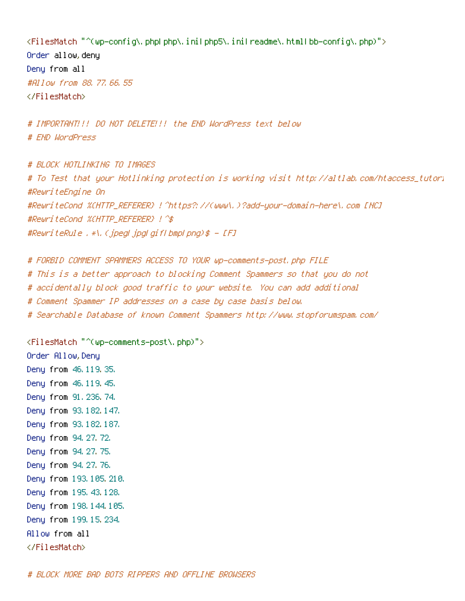<FilesMatch "^(wp-config\.php|php\.ini|php5\.ini|readme\.html|bb-config\.php)"> Order allow,deny Deny from all #Allow from 88.77.66.55 </FilesMatch>

# IMPORTANT!!! DO NOT DELETE!!! the END WordPress text below # END WordPress

# BLOCK HOTLINKING TO IMAGES # To Test that your Hotlinking protection is working visit http://altlab.com/htaccess\_tutorial.html #RewriteEngine On #RewriteCond %{HTTP\_REFERER} !^https?://(www\.)?add-your-domain-here\.com [NC] #RewriteCond %{HTTP\_REFERER} !^\$ #RewriteRule .\*\.(jpeg|jpg|gif|bmp|png)\$ - [F]

# FORBID COMMENT SPAMMERS ACCESS TO YOUR wp-comments-post.php FILE # This is <sup>a</sup> better approach to blocking Comment Spammers so that you do not # accidentally block good traffic to your website. You can add additional # Comment Spammer IP addresses on <sup>a</sup> case by case basis below. # Searchable Database of known Comment Spammers http://www.stopforumspam.com/

<FilesMatch "^(wp-comments-post\.php)"> Order Allow,Deny Deny from 46.119.35. Deny from 46.119.45. Deny from 91.236.74. Deny from 93.182.147. Deny from 93.182.187. Deny from 94.27.72. Deny from 94.27.75. Deny from 94.27.76. Deny from 193.105.210. Deny from 195.43.128. Deny from 198.144.105. Deny from 199.15.234. Allow from all </FilesMatch>

# BLOCK MORE BAD BOTS RIPPERS AND OFFLINE BROWSERS